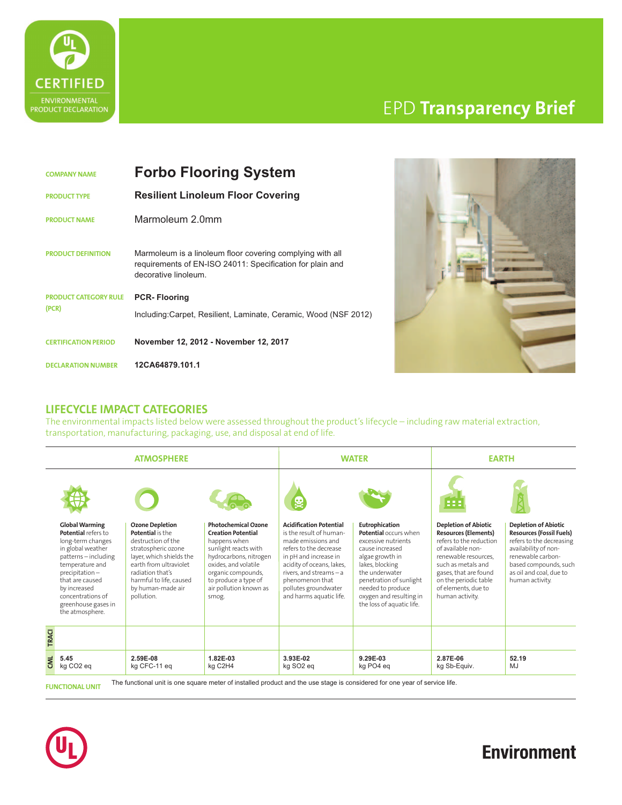

# EPD **Transparency Brief**

| <b>COMPANY NAME</b> |                              | <b>Forbo Flooring System</b>                                                                                                                   |  |  |
|---------------------|------------------------------|------------------------------------------------------------------------------------------------------------------------------------------------|--|--|
|                     | <b>PRODUCT TYPE</b>          | <b>Resilient Linoleum Floor Covering</b>                                                                                                       |  |  |
|                     | <b>PRODUCT NAME</b>          | Marmoleum 2.0mm                                                                                                                                |  |  |
|                     | <b>PRODUCT DEFINITION</b>    | Marmoleum is a linoleum floor covering complying with all<br>requirements of EN-ISO 24011: Specification for plain and<br>decorative linoleum. |  |  |
|                     | <b>PRODUCT CATEGORY RULE</b> | <b>PCR-Flooring</b>                                                                                                                            |  |  |
|                     | (PCR)                        | Including:Carpet, Resilient, Laminate, Ceramic, Wood (NSF 2012)                                                                                |  |  |
|                     | <b>CERTIFICATION PERIOD</b>  | November 12, 2012 - November 12, 2017                                                                                                          |  |  |
|                     | <b>DECLARATION NUMBER</b>    | 12CA64879.101.1                                                                                                                                |  |  |



#### **LIFECYCLE IMPACT CATEGORIES**

The environmental impacts listed below were assessed throughout the product's lifecycle – including raw material extraction, transportation, manufacturing, packaging, use, and disposal at end of life.

| <b>ATMOSPHERE</b> |                                                                                                                                                                                                                                                     | <b>WATER</b>                                                                                                                                                                                                                           |                                                                                                                                                                                                                                    | <b>EARTH</b>                                                                                                                                                                                                                                                       |                                                                                                                                                                                                                                                   |                                                                                                                                                                                                                                                             |                                                                                                                                                                                                                |
|-------------------|-----------------------------------------------------------------------------------------------------------------------------------------------------------------------------------------------------------------------------------------------------|----------------------------------------------------------------------------------------------------------------------------------------------------------------------------------------------------------------------------------------|------------------------------------------------------------------------------------------------------------------------------------------------------------------------------------------------------------------------------------|--------------------------------------------------------------------------------------------------------------------------------------------------------------------------------------------------------------------------------------------------------------------|---------------------------------------------------------------------------------------------------------------------------------------------------------------------------------------------------------------------------------------------------|-------------------------------------------------------------------------------------------------------------------------------------------------------------------------------------------------------------------------------------------------------------|----------------------------------------------------------------------------------------------------------------------------------------------------------------------------------------------------------------|
|                   | <b>Global Warming</b><br>Potential refers to<br>long-term changes<br>in global weather<br>patterns-including<br>temperature and<br>precipitation-<br>that are caused<br>by increased<br>concentrations of<br>greenhouse gases in<br>the atmosphere. | <b>Ozone Depletion</b><br><b>Potential</b> is the<br>destruction of the<br>stratospheric ozone<br>layer, which shields the<br>earth from ultraviolet<br>radiation that's<br>harmful to life, caused<br>by human-made air<br>pollution. | <b>Photochemical Ozone</b><br><b>Creation Potential</b><br>happens when<br>sunlight reacts with<br>hydrocarbons, nitrogen<br>oxides, and volatile<br>organic compounds,<br>to produce a type of<br>air pollution known as<br>smog. | <b>Acidification Potential</b><br>is the result of human-<br>made emissions and<br>refers to the decrease<br>in pH and increase in<br>acidity of oceans, lakes,<br>rivers, and streams $-$ a<br>phenomenon that<br>pollutes groundwater<br>and harms aquatic life. | Eutrophication<br>Potential occurs when<br>excessive nutrients<br>cause increased<br>algae growth in<br>lakes, blocking<br>the underwater<br>penetration of sunlight<br>needed to produce<br>oxygen and resulting in<br>the loss of aquatic life. | 888<br><b>Depletion of Abiotic</b><br><b>Resources (Elements)</b><br>refers to the reduction<br>of available non-<br>renewable resources.<br>such as metals and<br>gases, that are found<br>on the periodic table<br>of elements, due to<br>human activity. | <b>Depletion of Abiotic</b><br><b>Resources (Fossil Fuels)</b><br>refers to the decreasing<br>availability of non-<br>renewable carbon-<br>based compounds, such<br>as oil and coal, due to<br>human activity. |
| <b>TRACI</b><br>m | 5.45                                                                                                                                                                                                                                                | 2.59E-08                                                                                                                                                                                                                               | 1.82E-03                                                                                                                                                                                                                           | 3.93E-02                                                                                                                                                                                                                                                           | 9.29E-03                                                                                                                                                                                                                                          | 2.87E-06                                                                                                                                                                                                                                                    | 52.19                                                                                                                                                                                                          |

**FUNCTIONAL UNIT** The functional unit is one square meter of installed product and the use stage is considered for one year of service life.



# **Environment**